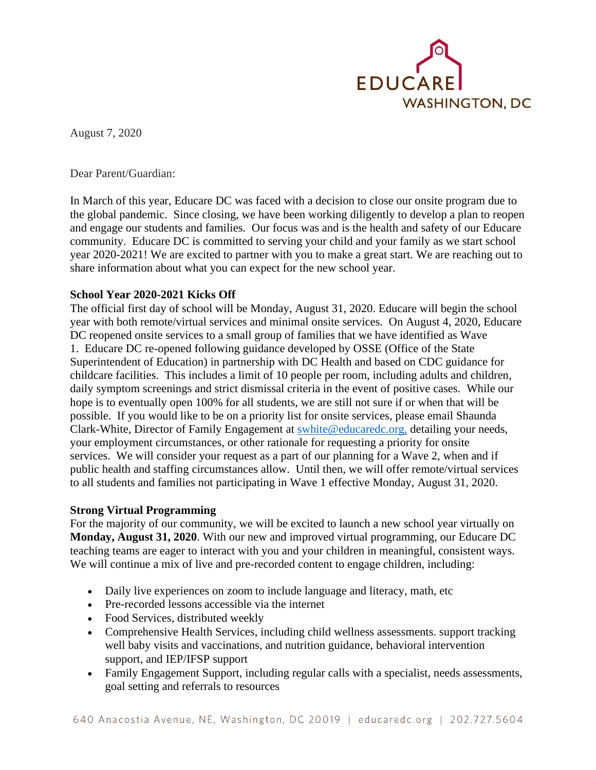

August 7, 2020

Dear Parent/Guardian:

In March of this year, Educare DC was faced with a decision to close our onsite program due to the global pandemic. Since closing, we have been working diligently to develop a plan to reopen and engage our students and families. Our focus was and is the health and safety of our Educare community. Educare DC is committed to serving your child and your family as we start school year 2020-2021! We are excited to partner with you to make a great start. We are reaching out to share information about what you can expect for the new school year.

## **School Year 2020-2021 Kicks Off**

The official first day of school will be Monday, August 31, 2020. Educare will begin the school year with both remote/virtual services and minimal onsite services. On August 4, 2020, Educare DC reopened onsite services to a small group of families that we have identified as Wave 1. Educare DC re-opened following guidance developed by OSSE (Office of the State Superintendent of Education) in partnership with DC Health and based on CDC guidance for childcare facilities. This includes a limit of 10 people per room, including adults and children, daily symptom screenings and strict dismissal criteria in the event of positive cases. While our hope is to eventually open 100% for all students, we are still not sure if or when that will be possible. If you would like to be on a priority list for onsite services, please email Shaunda Clark-White, Director of Family Engagement at [swhite@educaredc.org,](mailto:swhite@educaredc.org) detailing your needs, your employment circumstances, or other rationale for requesting a priority for onsite services. We will consider your request as a part of our planning for a Wave 2, when and if public health and staffing circumstances allow. Until then, we will offer remote/virtual services to all students and families not participating in Wave 1 effective Monday, August 31, 2020.

## **Strong Virtual Programming**

For the majority of our community, we will be excited to launch a new school year virtually on **Monday, August 31, 2020**. With our new and improved virtual programming, our Educare DC teaching teams are eager to interact with you and your children in meaningful, consistent ways. We will continue a mix of live and pre-recorded content to engage children, including:

- Daily live experiences on zoom to include language and literacy, math, etc
- Pre-recorded lessons accessible via the internet
- Food Services, distributed weekly
- Comprehensive Health Services, including child wellness assessments. support tracking well baby visits and vaccinations, and nutrition guidance, behavioral intervention support, and IEP/IFSP support
- Family Engagement Support, including regular calls with a specialist, needs assessments, goal setting and referrals to resources